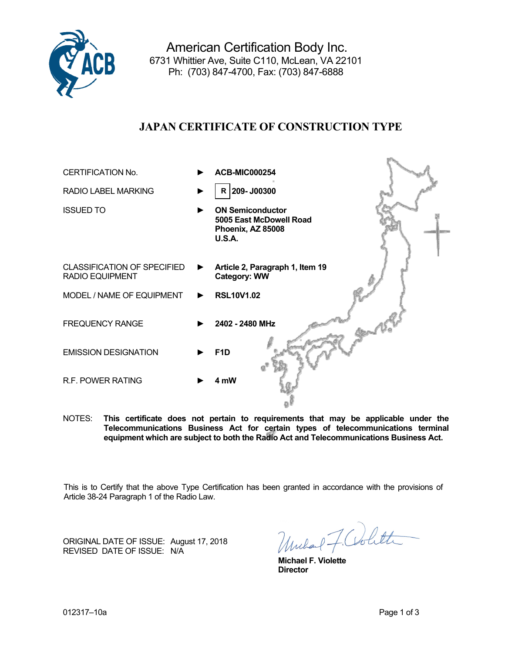

American Certification Body Inc. 6731 Whittier Ave, Suite C110, McLean, VA 22101 Ph: (703) 847-4700, Fax: (703) 847-6888

# **JAPAN CERTIFICATE OF CONSTRUCTION TYPE**

| <b>CERTIFICATION No.</b>                              |   | <b>ACB-MIC000254</b>                                                                     |
|-------------------------------------------------------|---|------------------------------------------------------------------------------------------|
| <b>RADIO LABEL MARKING</b>                            |   | $R$ 209- J00300                                                                          |
| <b>ISSUED TO</b>                                      |   | <b>ON Semiconductor</b><br>5005 East McDowell Road<br>Phoenix, AZ 85008<br><b>U.S.A.</b> |
| <b>CLASSIFICATION OF SPECIFIED</b><br>RADIO EQUIPMENT | ▶ | Article 2, Paragraph 1, Item 19<br><b>Category: WW</b>                                   |
| MODEL / NAME OF EQUIPMENT                             | ▶ | <b>RSL10V1.02</b>                                                                        |
| <b>FREQUENCY RANGE</b>                                |   | 2402 - 2480 MHz                                                                          |
| <b>EMISSION DESIGNATION</b>                           |   | F <sub>1</sub> D                                                                         |
| R.F. POWER RATING                                     |   | 4 mW                                                                                     |

NOTES: **This certificate does not pertain to requirements that may be applicable under the Telecommunications Business Act for certain types of telecommunications terminal equipment which are subject to both the Radio Act and Telecommunications Business Act.**

This is to Certify that the above Type Certification has been granted in accordance with the provisions of Article 38-24 Paragraph 1 of the Radio Law.

ORIGINAL DATE OF ISSUE:August 17, 2018 REVISED DATE OF ISSUE:N/A

Unchart F. Colitte

 **Michael F. Violette**  *Director* **Director**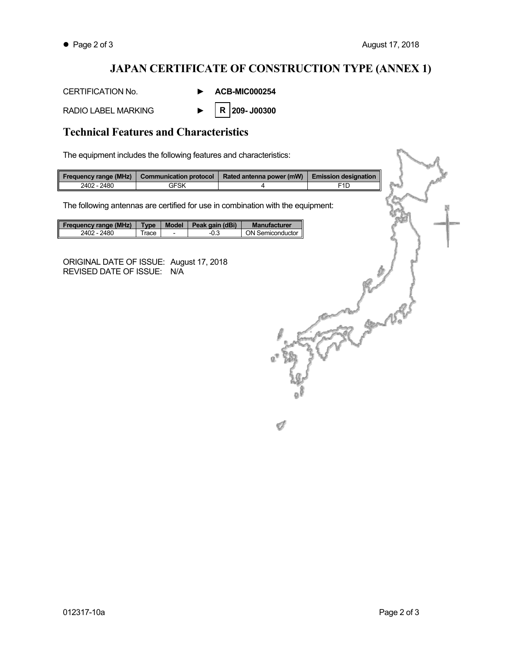CANA

## **JAPAN CERTIFICATE OF CONSTRUCTION TYPE (ANNEX 1)**

Í

CERTIFICATION No. **► ACB-MIC000254** 

RADIO LABEL MARKING **► 209- J00300 R** 

## **Technical Features and Characteristics**

The equipment includes the following features and characteristics:

| Frequency range (MHz) | <b>Communication protocol</b> | Rated antenna power (mW) | <b>Emission designation</b> |
|-----------------------|-------------------------------|--------------------------|-----------------------------|
| 2402 - 2480           | <b>GFSK</b>                   |                          | F1D                         |

The following antennas are certified for use in combination with the equipment:

| <b>Frequency range (MHz)</b> | <b>Type</b> | <b>Model</b> | Peak gain (dBi) | <b>Manufacturer</b> |
|------------------------------|-------------|--------------|-----------------|---------------------|
| 2402 - 2480                  | race        |              | U.J             | ON Semiconductor    |

ORIGINAL DATE OF ISSUE:August 17, 2018 REVISED DATE OF ISSUE:N/A